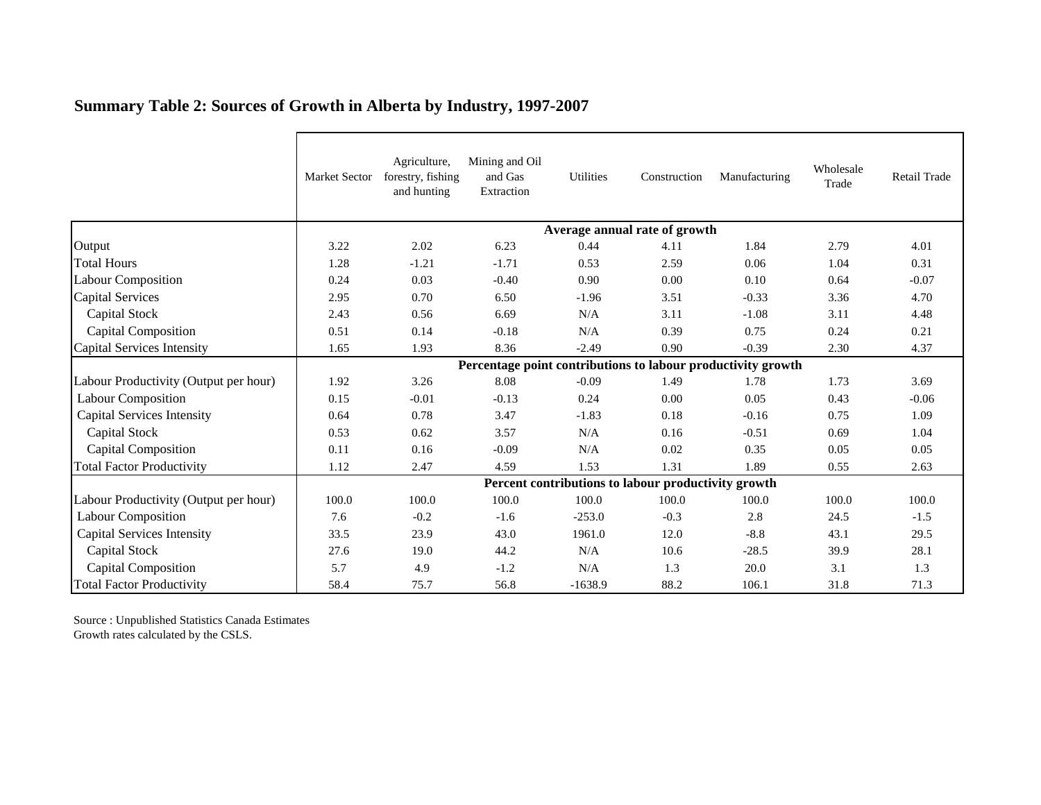|                                       | Market Sector                                                | Agriculture,<br>forestry, fishing<br>and hunting | Mining and Oil<br>and Gas<br>Extraction | <b>Utilities</b> | Construction | Manufacturing | Wholesale<br>Trade | Retail Trade |  |  |  |
|---------------------------------------|--------------------------------------------------------------|--------------------------------------------------|-----------------------------------------|------------------|--------------|---------------|--------------------|--------------|--|--|--|
|                                       | Average annual rate of growth                                |                                                  |                                         |                  |              |               |                    |              |  |  |  |
| Output                                | 3.22                                                         | 2.02                                             | 6.23                                    | 0.44             | 4.11         | 1.84          | 2.79               | 4.01         |  |  |  |
| <b>Total Hours</b>                    | 1.28                                                         | $-1.21$                                          | $-1.71$                                 | 0.53             | 2.59         | 0.06          | 1.04               | 0.31         |  |  |  |
| Labour Composition                    | 0.24                                                         | 0.03                                             | $-0.40$                                 | 0.90             | 0.00         | 0.10          | 0.64               | $-0.07$      |  |  |  |
| Capital Services                      | 2.95                                                         | 0.70                                             | 6.50                                    | $-1.96$          | 3.51         | $-0.33$       | 3.36               | 4.70         |  |  |  |
| Capital Stock                         | 2.43                                                         | 0.56                                             | 6.69                                    | N/A              | 3.11         | $-1.08$       | 3.11               | 4.48         |  |  |  |
| <b>Capital Composition</b>            | 0.51                                                         | 0.14                                             | $-0.18$                                 | N/A              | 0.39         | 0.75          | 0.24               | 0.21         |  |  |  |
| Capital Services Intensity            | 1.65                                                         | 1.93                                             | 8.36                                    | $-2.49$          | 0.90         | $-0.39$       | 2.30               | 4.37         |  |  |  |
|                                       | Percentage point contributions to labour productivity growth |                                                  |                                         |                  |              |               |                    |              |  |  |  |
| Labour Productivity (Output per hour) | 1.92                                                         | 3.26                                             | 8.08                                    | $-0.09$          | 1.49         | 1.78          | 1.73               | 3.69         |  |  |  |
| <b>Labour Composition</b>             | 0.15                                                         | $-0.01$                                          | $-0.13$                                 | 0.24             | 0.00         | 0.05          | 0.43               | $-0.06$      |  |  |  |
| <b>Capital Services Intensity</b>     | 0.64                                                         | 0.78                                             | 3.47                                    | $-1.83$          | 0.18         | $-0.16$       | 0.75               | 1.09         |  |  |  |
| Capital Stock                         | 0.53                                                         | 0.62                                             | 3.57                                    | N/A              | 0.16         | $-0.51$       | 0.69               | 1.04         |  |  |  |
| <b>Capital Composition</b>            | 0.11                                                         | 0.16                                             | $-0.09$                                 | N/A              | 0.02         | 0.35          | 0.05               | 0.05         |  |  |  |
| <b>Total Factor Productivity</b>      | 1.12                                                         | 2.47                                             | 4.59                                    | 1.53             | 1.31         | 1.89          | 0.55               | 2.63         |  |  |  |
|                                       | Percent contributions to labour productivity growth          |                                                  |                                         |                  |              |               |                    |              |  |  |  |
| Labour Productivity (Output per hour) | 100.0                                                        | 100.0                                            | 100.0                                   | 100.0            | 100.0        | 100.0         | 100.0              | 100.0        |  |  |  |
| <b>Labour Composition</b>             | 7.6                                                          | $-0.2$                                           | $-1.6$                                  | $-253.0$         | $-0.3$       | 2.8           | 24.5               | $-1.5$       |  |  |  |
| <b>Capital Services Intensity</b>     | 33.5                                                         | 23.9                                             | 43.0                                    | 1961.0           | 12.0         | $-8.8$        | 43.1               | 29.5         |  |  |  |
| Capital Stock                         | 27.6                                                         | 19.0                                             | 44.2                                    | N/A              | 10.6         | $-28.5$       | 39.9               | 28.1         |  |  |  |
| <b>Capital Composition</b>            | 5.7                                                          | 4.9                                              | $-1.2$                                  | N/A              | 1.3          | 20.0          | 3.1                | 1.3          |  |  |  |
| <b>Total Factor Productivity</b>      | 58.4                                                         | 75.7                                             | 56.8                                    | $-1638.9$        | 88.2         | 106.1         | 31.8               | 71.3         |  |  |  |

## **Summary Table 2: Sources of Growth in Alberta by Industry, 1997-2007**

Source : Unpublished Statistics Canada Estimates Growth rates calculated by the CSLS.